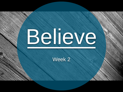

#### Week 2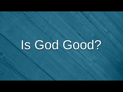# Is God Good?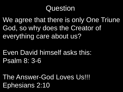We agree that there is only One Triune God, so why does the Creator of everything care about us?

Even David himself asks this: Psalm 8: 3-6

The Answer-God Loves Us!!! Ephesians 2:10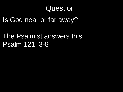Is God near or far away?

The Psalmist answers this: Psalm 121: 3-8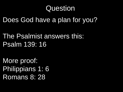Does God have a plan for you?

The Psalmist answers this: Psalm 139: 16

More proof: Philippians 1: 6 Romans 8: 28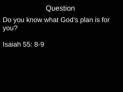Do you know what God's plan is for you?

Isaiah 55: 8-9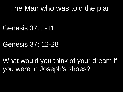### The Man who was told the plan

Genesis 37: 1-11

#### Genesis 37: 12-28

What would you think of your dream if you were in Joseph's shoes?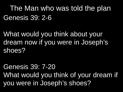The Man who was told the plan Genesis 39: 2-6

What would you think about your dream now if you were in Joseph's shoes?

Genesis 39: 7-20 What would you think of your dream if you were in Joseph's shoes?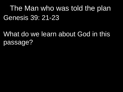The Man who was told the plan Genesis 39: 21-23

What do we learn about God in this passage?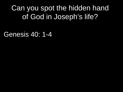Can you spot the hidden hand of God in Joseph's life?

Genesis 40: 1-4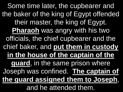Some time later, the cupbearer and the baker of the king of Egypt offended their master, the king of Egypt. **Pharaoh** was angry with his two officials, the chief cupbearer and the chief baker, and **put them in custody in the house of the captain of the guard**, in the same prison where Joseph was confined. **The captain of the guard assigned them to Joseph**, and he attended them.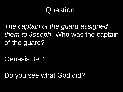*The captain of the guard assigned them to Joseph*- Who was the captain of the guard?

Genesis 39: 1

Do you see what God did?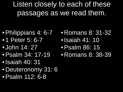Listen closely to each of these passages as we read them.

- •Philippians 4: 6-7 • 1 Peter 5: 6-7
- John 14: 27
- •Psalm 34: 17-19
- •Isaiah 40: 31
- Deuteronomy 31: 6
- •Psalm 112: 6-8
- Romans 8: 31-32
- •Isaiah 41: 10
- •Psalm 86: 15
- Romans 8: 38-39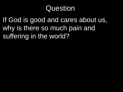If God is good and cares about us, why is there so much pain and suffering in the world?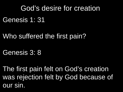#### God's desire for creation

Genesis 1: 31

Who suffered the first pain?

Genesis 3: 8

The first pain felt on God's creation was rejection felt by God because of our sin.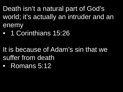Death isn't a natural part of God's world; it's actually an intruder and an enemy

- 1 Corinthians 15:26
- It is because of Adam's sin that we suffer from death
- **Romans 5:12**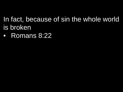#### In fact, because of sin the whole world is broken

• Romans 8:22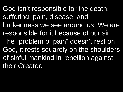God isn't responsible for the death, suffering, pain, disease, and brokenness we see around us. We are responsible for it because of our sin. The "problem of pain" doesn't rest on God, it rests squarely on the shoulders of sinful mankind in rebellion against their Creator.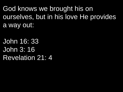God knows we brought his on ourselves, but in his love He provides a way out:

John 16: 33 John 3: 16 Revelation 21: 4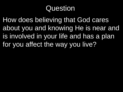How does believing that God cares about you and knowing He is near and is involved in your life and has a plan for you affect the way you live?